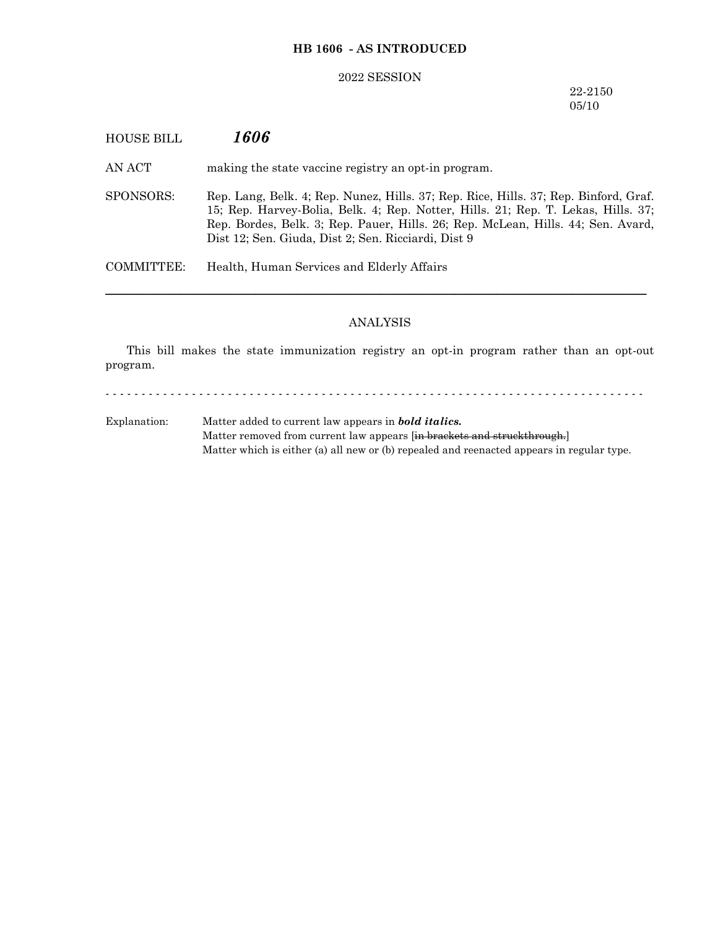# **HB 1606 - AS INTRODUCED**

#### 2022 SESSION

## 22-2150 05/10

| <b>HOUSE BILL</b> | 1606                                                                                                                                                                                                                                                                                                                 |
|-------------------|----------------------------------------------------------------------------------------------------------------------------------------------------------------------------------------------------------------------------------------------------------------------------------------------------------------------|
| AN ACT            | making the state vaccine registry an opt-in program.                                                                                                                                                                                                                                                                 |
| SPONSORS:         | Rep. Lang, Belk. 4; Rep. Nunez, Hills. 37; Rep. Rice, Hills. 37; Rep. Binford, Graf.<br>15; Rep. Harvey-Bolia, Belk. 4; Rep. Notter, Hills. 21; Rep. T. Lekas, Hills. 37;<br>Rep. Bordes, Belk. 3; Rep. Pauer, Hills. 26; Rep. McLean, Hills. 44; Sen. Avard,<br>Dist 12; Sen. Giuda, Dist 2; Sen. Ricciardi, Dist 9 |
| COMMITTEE:        | Health, Human Services and Elderly Affairs                                                                                                                                                                                                                                                                           |

# ANALYSIS

This bill makes the state immunization registry an opt-in program rather than an opt-out program.

- - - - - - - - - - - - - - - - - - - - - - - - - - - - - - - - - - - - - - - - - - - - - - - - - - - - - - - - - - - - - - - - - - - - - - - - - - -

Explanation: Matter added to current law appears in *bold italics.* Matter removed from current law appears [in brackets and struckthrough.] Matter which is either (a) all new or (b) repealed and reenacted appears in regular type.